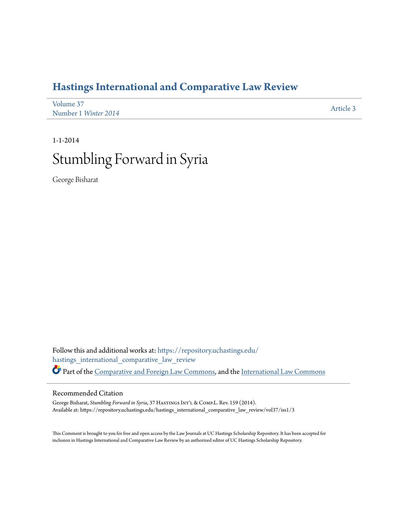## **[Hastings International and Comparative Law Review](https://repository.uchastings.edu/hastings_international_comparative_law_review?utm_source=repository.uchastings.edu%2Fhastings_international_comparative_law_review%2Fvol37%2Fiss1%2F3&utm_medium=PDF&utm_campaign=PDFCoverPages)**

| Volume 37            | Article 3 |
|----------------------|-----------|
| Number 1 Winter 2014 |           |

# 1-1-2014 Stumbling Forward in Syria

George Bisharat

Follow this and additional works at: [https://repository.uchastings.edu/](https://repository.uchastings.edu/hastings_international_comparative_law_review?utm_source=repository.uchastings.edu%2Fhastings_international_comparative_law_review%2Fvol37%2Fiss1%2F3&utm_medium=PDF&utm_campaign=PDFCoverPages) [hastings\\_international\\_comparative\\_law\\_review](https://repository.uchastings.edu/hastings_international_comparative_law_review?utm_source=repository.uchastings.edu%2Fhastings_international_comparative_law_review%2Fvol37%2Fiss1%2F3&utm_medium=PDF&utm_campaign=PDFCoverPages) Part of the [Comparative and Foreign Law Commons](http://network.bepress.com/hgg/discipline/836?utm_source=repository.uchastings.edu%2Fhastings_international_comparative_law_review%2Fvol37%2Fiss1%2F3&utm_medium=PDF&utm_campaign=PDFCoverPages), and the [International Law Commons](http://network.bepress.com/hgg/discipline/609?utm_source=repository.uchastings.edu%2Fhastings_international_comparative_law_review%2Fvol37%2Fiss1%2F3&utm_medium=PDF&utm_campaign=PDFCoverPages)

### Recommended Citation

George Bisharat, *Stumbling Forward in Syria*, 37 HASTINGS INT'L & COMP.L. Rev. 159 (2014). Available at: https://repository.uchastings.edu/hastings\_international\_comparative\_law\_review/vol37/iss1/3

This Comment is brought to you for free and open access by the Law Journals at UC Hastings Scholarship Repository. It has been accepted for inclusion in Hastings International and Comparative Law Review by an authorized editor of UC Hastings Scholarship Repository.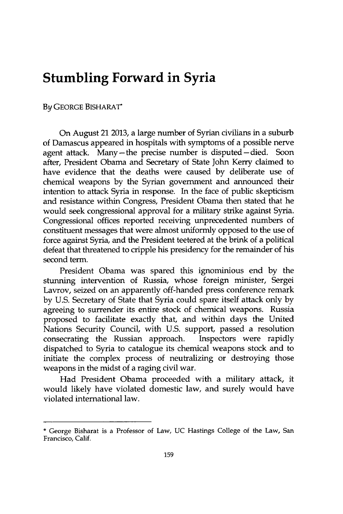## **Stumbling Forward in Syria**

#### **By GEORGE BISHARAT\***

On August 21 **2013,** a large number of Syrian civilians in a suburb of Damascus appeared in hospitals with symptoms of a possible nerve agent attack. Many-the precise number is disputed-died. Soon after, President Obama and Secretary of State John Kerry claimed to have evidence that the deaths were caused **by** deliberate use of chemical weapons **by** the Syrian government and announced their intention to attack Syria in response. In the face of public skepticism and resistance within Congress, President Obama then stated that he would seek congressional approval for a military strike against Syria. Congressional offices reported receiving unprecedented numbers of constituent messages that were almost uniformly opposed to the use of force against Syria, and the President teetered at the brink of a political defeat that threatened to cripple his presidency for the remainder of his second term.

President Obama was spared this ignominious end **by** the stunning intervention of Russia, whose foreign minister, Sergei Lavrov, seized on an apparently off-handed press conference remark **by U.S.** Secretary of State that Syria could spare itself attack only **by** agreeing to surrender its entire stock of chemical weapons. Russia proposed to facilitate exactly that, and within days the United Nations Security Council, with **U.S.** support, passed a resolution consecrating the Russian approach. Inspectors were rapidly dispatched to Syria to catalogue its chemical weapons stock and to initiate the complex process of neutralizing or destroying those weapons in the midst of a raging civil war.

Had President Obama proceeded with a military attack, it would likely have violated domestic law, and surely would have violated international law.

**<sup>\*</sup>** George Bisharat is a Professor of Law, **UC** Hastings College of the Law, San Francisco, Calif.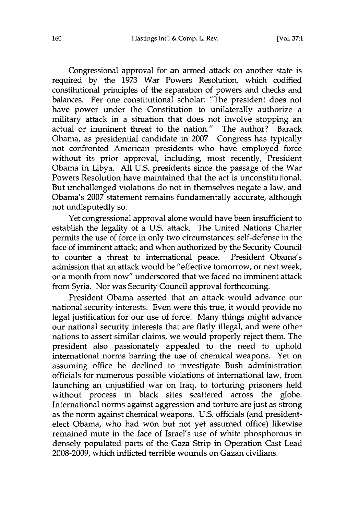Congressional approval for an armed attack on another state is required **by** the **1973** War Powers Resolution, which codified constitutional principles of the separation of powers and checks and balances. Per one constitutional scholar: "The president does not have power under the Constitution to unilaterally authorize a military attack in a situation that does not involve stopping an actual or imminent threat to the nation." The author? Barack Obama, as presidential candidate in **2007.** Congress has typically not confronted American presidents who have employed force without its prior approval, including, most recently, President Obama in Libya. **All U.S.** presidents since the passage of the War Powers Resolution have maintained that the act is unconstitutional. But unchallenged violations do not in themselves negate a law, and Obama's **2007** statement remains fundamentally accurate, although not undisputedly so.

Yet congressional approval alone would have been insufficient to establish the legality of a **U.S.** attack. The United Nations Charter permits the use of force in only two circumstances: self-defense in the face of imminent attack; and when authorized **by** the Security Council to counter a threat to international peace. President Obama's admission that an attack would be "effective tomorrow, or next week, or a month from now" underscored that we faced no imminent attack from Syria. Nor was Security Council approval forthcoming.

President Obama asserted that an attack would advance our national security interests. Even were this true, it would provide no legal justification for our use of force. Many things might advance our national security interests that are flatly illegal, and were other nations to assert similar claims, we would properly reject them. The president also passionately appealed to the need to uphold international norms barring the use of chemical weapons. Yet on assuming office he declined to investigate Bush administration officials for numerous possible violations of international law, from launching an unjustified war on Iraq, to torturing prisoners held without process in black sites scattered across the globe. International norms against aggression and torture are just as strong as the norm against chemical weapons. **U.S.** officials (and presidentelect Obama, who had won but not yet assumed office) likewise remained mute in the face of Israel's use of white phosphorous in densely populated parts of the Gaza Strip in Operation Cast Lead **2008-2009,** which inflicted terrible wounds on Gazan civilians.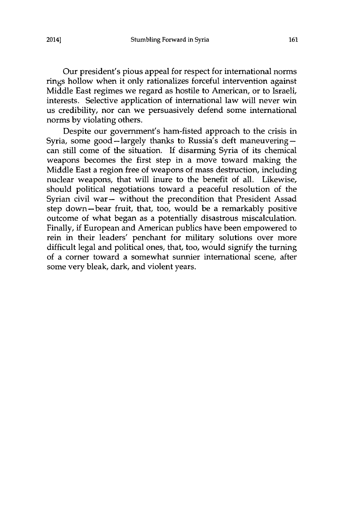Our president's pious appeal for respect for international norms rings hollow when it only rationalizes forceful intervention against Middle East regimes we regard as hostile to American, or to Israeli, interests. Selective application of international law will never win us credibility, nor can we persuasively defend some international norms **by** violating others.

Despite our government's ham-fisted approach to the crisis in Syria, some good-largely thanks to Russia's deft maneuveringcan still come of the situation. **If** disarming Syria of its chemical weapons becomes the first step in a move toward making the Middle East a region free of weapons of mass destruction, including nuclear weapons, that will inure to the benefit of all. Likewise, should political negotiations toward a peaceful resolution of the Syrian civil war- without the precondition that President Assad step down-bear fruit, that, too, would be a remarkably positive outcome of what began as a potentially disastrous miscalculation. Finally, **if** European and American publics have been empowered to rein in their leaders' penchant for military solutions over more difficult legal and political ones, that, too, would signify the turning of a corner toward a somewhat sunnier international scene, after some very bleak, dark, and violent years.